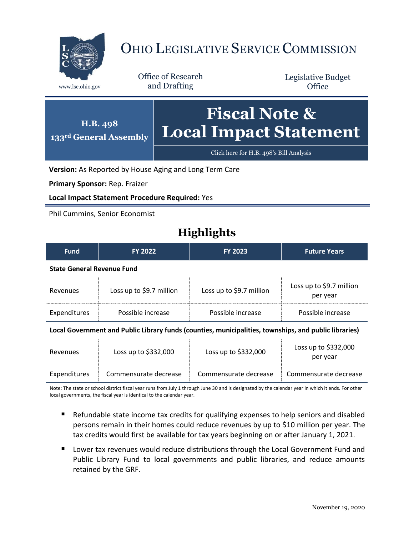

## OHIO LEGISLATIVE SERVICE COMMISSION

Office of Research www.lsc.ohio.gov and Drafting

Legislative Budget **Office** 



**Version:** As Reported by House Aging and Long Term Care

**Primary Sponsor:** Rep. Fraizer

**Local Impact Statement Procedure Required:** Yes

Phil Cummins, Senior Economist

## **Highlights**

| <b>Fund</b>                                                                                                                          | <b>FY 2022</b>           | <b>FY 2023</b>           | <b>Future Years</b>                  |  |  |
|--------------------------------------------------------------------------------------------------------------------------------------|--------------------------|--------------------------|--------------------------------------|--|--|
| <b>State General Revenue Fund</b>                                                                                                    |                          |                          |                                      |  |  |
| Revenues                                                                                                                             | Loss up to \$9.7 million | Loss up to \$9.7 million | Loss up to \$9.7 million<br>per year |  |  |
| Expenditures                                                                                                                         | Possible increase        | Possible increase        | Possible increase                    |  |  |
| $\mathbf{r}$ and $\mathbf{A}$ are accurated the different contribution of the contract of the problems of the different contracts. A |                          |                          |                                      |  |  |

**Local Government and Public Library funds (counties, municipalities, townships, and public libraries)**

| Revenues     | Loss up to $$332,000$ | Loss up to $$332,000$ | Loss up to $$332,000$<br>per year |
|--------------|-----------------------|-----------------------|-----------------------------------|
| Expenditures | Commensurate decrease | Commensurate decrease | Commensurate decrease             |

Note: The state or school district fiscal year runs from July 1 through June 30 and is designated by the calendar year in which it ends. For other local governments, the fiscal year is identical to the calendar year.

- Refundable state income tax credits for qualifying expenses to help seniors and disabled persons remain in their homes could reduce revenues by up to \$10 million per year. The tax credits would first be available for tax years beginning on or after January 1, 2021.
- **Lower tax revenues would reduce distributions through the Local Government Fund and** Public Library Fund to local governments and public libraries, and reduce amounts retained by the GRF.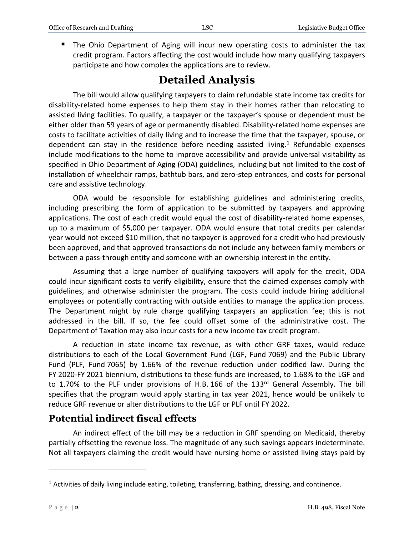**The Ohio Department of Aging will incur new operating costs to administer the tax** credit program. Factors affecting the cost would include how many qualifying taxpayers participate and how complex the applications are to review.

## **Detailed Analysis**

The bill would allow qualifying taxpayers to claim refundable state income tax credits for disability-related home expenses to help them stay in their homes rather than relocating to assisted living facilities. To qualify, a taxpayer or the taxpayer's spouse or dependent must be either older than 59 years of age or permanently disabled. Disability-related home expenses are costs to facilitate activities of daily living and to increase the time that the taxpayer, spouse, or dependent can stay in the residence before needing assisted living. $1$  Refundable expenses include modifications to the home to improve accessibility and provide universal visitability as specified in Ohio Department of Aging (ODA) guidelines, including but not limited to the cost of installation of wheelchair ramps, bathtub bars, and zero-step entrances, and costs for personal care and assistive technology.

ODA would be responsible for establishing guidelines and administering credits, including prescribing the form of application to be submitted by taxpayers and approving applications. The cost of each credit would equal the cost of disability-related home expenses, up to a maximum of \$5,000 per taxpayer. ODA would ensure that total credits per calendar year would not exceed \$10 million, that no taxpayer is approved for a credit who had previously been approved, and that approved transactions do not include any between family members or between a pass-through entity and someone with an ownership interest in the entity.

Assuming that a large number of qualifying taxpayers will apply for the credit, ODA could incur significant costs to verify eligibility, ensure that the claimed expenses comply with guidelines, and otherwise administer the program. The costs could include hiring additional employees or potentially contracting with outside entities to manage the application process. The Department might by rule charge qualifying taxpayers an application fee; this is not addressed in the bill. If so, the fee could offset some of the administrative cost. The Department of Taxation may also incur costs for a new income tax credit program.

A reduction in state income tax revenue, as with other GRF taxes, would reduce distributions to each of the Local Government Fund (LGF, Fund 7069) and the Public Library Fund (PLF, Fund 7065) by 1.66% of the revenue reduction under codified law. During the FY 2020-FY 2021 biennium, distributions to these funds are increased, to 1.68% to the LGF and to 1.70% to the PLF under provisions of H.B. 166 of the 133<sup>rd</sup> General Assembly. The bill specifies that the program would apply starting in tax year 2021, hence would be unlikely to reduce GRF revenue or alter distributions to the LGF or PLF until FY 2022.

## **Potential indirect fiscal effects**

An indirect effect of the bill may be a reduction in GRF spending on Medicaid, thereby partially offsetting the revenue loss. The magnitude of any such savings appears indeterminate. Not all taxpayers claiming the credit would have nursing home or assisted living stays paid by

 $\overline{a}$ 

 $<sup>1</sup>$  Activities of daily living include eating, toileting, transferring, bathing, dressing, and continence.</sup>